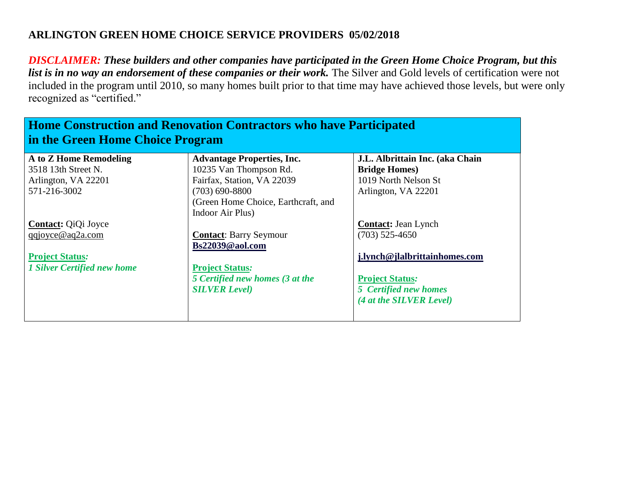| <b>Home Construction and Renovation Contractors who have Participated</b><br>in the Green Home Choice Program |                                     |                                 |
|---------------------------------------------------------------------------------------------------------------|-------------------------------------|---------------------------------|
| A to Z Home Remodeling                                                                                        | <b>Advantage Properties, Inc.</b>   | J.L. Albrittain Inc. (aka Chain |
| 3518 13th Street N.                                                                                           | 10235 Van Thompson Rd.              | <b>Bridge Homes</b> )           |
| Arlington, VA 22201                                                                                           | Fairfax, Station, VA 22039          | 1019 North Nelson St            |
| 571-216-3002                                                                                                  | $(703)$ 690-8800                    | Arlington, VA 22201             |
|                                                                                                               | (Green Home Choice, Earthcraft, and |                                 |
|                                                                                                               | Indoor Air Plus)                    |                                 |
| <b>Contact:</b> QiQi Joyce                                                                                    |                                     | <b>Contact:</b> Jean Lynch      |
| qqjoyce@aq2a.com                                                                                              | <b>Contact:</b> Barry Seymour       | $(703)$ 525-4650                |
|                                                                                                               | Bs22039@aol.com                     |                                 |
| <b>Project Status:</b>                                                                                        |                                     | j.lynch@jlalbrittainhomes.com   |
| <b>1 Silver Certified new home</b>                                                                            | <b>Project Status:</b>              |                                 |
|                                                                                                               | 5 Certified new homes (3 at the     | <b>Project Status:</b>          |
|                                                                                                               | <b>SILVER Level)</b>                | 5 Certified new homes           |
|                                                                                                               |                                     | (4 at the SILVER Level)         |
|                                                                                                               |                                     |                                 |
|                                                                                                               |                                     |                                 |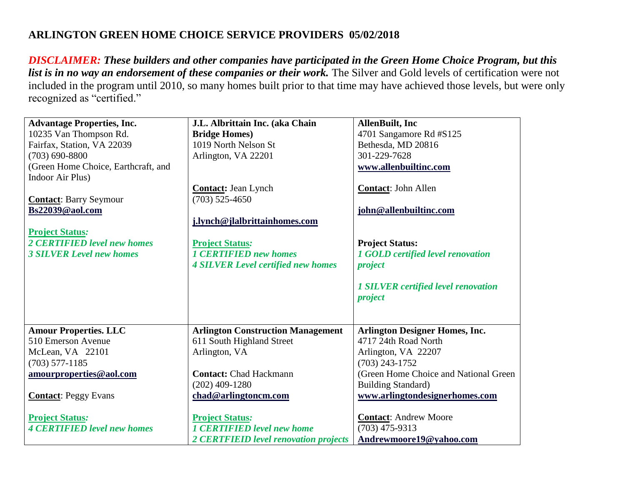| <b>Advantage Properties, Inc.</b>   | J.L. Albrittain Inc. (aka Chain           | <b>AllenBuilt</b> , Inc                    |
|-------------------------------------|-------------------------------------------|--------------------------------------------|
| 10235 Van Thompson Rd.              | <b>Bridge Homes</b> )                     | 4701 Sangamore Rd #S125                    |
| Fairfax, Station, VA 22039          | 1019 North Nelson St                      | Bethesda, MD 20816                         |
| $(703) 690 - 8800$                  | Arlington, VA 22201                       | 301-229-7628                               |
| (Green Home Choice, Earthcraft, and |                                           | www.allenbuiltinc.com                      |
| Indoor Air Plus)                    |                                           |                                            |
|                                     | <b>Contact: Jean Lynch</b>                | Contact: John Allen                        |
| <b>Contact: Barry Seymour</b>       | $(703)$ 525-4650                          |                                            |
| Bs22039@aol.com                     |                                           | john@allenbuiltinc.com                     |
|                                     | j.lynch@jlalbrittainhomes.com             |                                            |
| <b>Project Status:</b>              |                                           |                                            |
| 2 CERTIFIED level new homes         | <b>Project Status:</b>                    | <b>Project Status:</b>                     |
| <b>3 SILVER Level new homes</b>     | <b>1 CERTIFIED new homes</b>              | 1 GOLD certified level renovation          |
|                                     | <b>4 SILVER Level certified new homes</b> | project                                    |
|                                     |                                           |                                            |
|                                     |                                           | <b>1 SILVER certified level renovation</b> |
|                                     |                                           | project                                    |
|                                     |                                           |                                            |
|                                     |                                           |                                            |
| <b>Amour Properties. LLC</b>        | <b>Arlington Construction Management</b>  | <b>Arlington Designer Homes, Inc.</b>      |
| 510 Emerson Avenue                  | 611 South Highland Street                 | 4717 24th Road North                       |
| McLean, VA 22101                    | Arlington, VA                             | Arlington, VA 22207                        |
| $(703)$ 577-1185                    |                                           | $(703)$ 243-1752                           |
| amourproperties@aol.com             | <b>Contact: Chad Hackmann</b>             | (Green Home Choice and National Green)     |
|                                     | $(202)$ 409-1280                          | <b>Building Standard)</b>                  |
| <b>Contact:</b> Peggy Evans         | chad@arlingtoncm.com                      | www.arlingtondesignerhomes.com             |
|                                     |                                           |                                            |
| <b>Project Status:</b>              | <b>Project Status:</b>                    | <b>Contact:</b> Andrew Moore               |
| <b>4 CERTIFIED level new homes</b>  | <b>1 CERTIFIED level new home</b>         | $(703)$ 475-9313                           |
|                                     | 2 CERTFIEID level renovation projects     | Andrewmoore19@yahoo.com                    |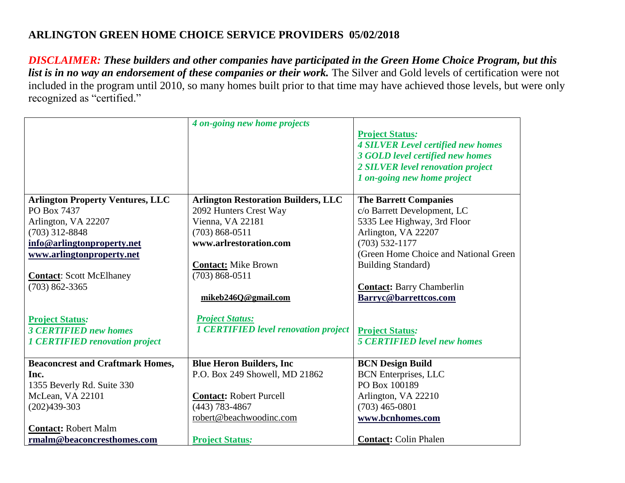|                                         | 4 on-going new home projects                |                                           |
|-----------------------------------------|---------------------------------------------|-------------------------------------------|
|                                         |                                             | <b>Project Status:</b>                    |
|                                         |                                             | <b>4 SILVER Level certified new homes</b> |
|                                         |                                             | <b>3 GOLD level certified new homes</b>   |
|                                         |                                             | 2 SILVER level renovation project         |
|                                         |                                             | 1 on-going new home project               |
|                                         |                                             |                                           |
| <b>Arlington Property Ventures, LLC</b> | <b>Arlington Restoration Builders, LLC</b>  | <b>The Barrett Companies</b>              |
| PO Box 7437                             | 2092 Hunters Crest Way                      | c/o Barrett Development, LC               |
| Arlington, VA 22207                     | Vienna, VA 22181                            | 5335 Lee Highway, 3rd Floor               |
| $(703)$ 312-8848                        | $(703) 868 - 0511$                          | Arlington, VA 22207                       |
| info@arlingtonproperty.net              | www.arlrestoration.com                      | $(703)$ 532-1177                          |
| www.arlingtonproperty.net               |                                             | (Green Home Choice and National Green)    |
|                                         | <b>Contact: Mike Brown</b>                  | <b>Building Standard)</b>                 |
| <b>Contact:</b> Scott McElhaney         | $(703) 868 - 0511$                          |                                           |
| $(703) 862 - 3365$                      |                                             | <b>Contact:</b> Barry Chamberlin          |
|                                         | mikeb246Q@gmail.com                         | Barryc@barrettcos.com                     |
|                                         |                                             |                                           |
| <b>Project Status:</b>                  | <b>Project Status:</b>                      |                                           |
| <b>3 CERTIFIED new homes</b>            | <b>1 CERTIFIED level renovation project</b> | <b>Project Status:</b>                    |
| <b>1 CERTIFIED renovation project</b>   |                                             | <b>5 CERTIFIED level new homes</b>        |
| <b>Beaconcrest and Craftmark Homes,</b> | <b>Blue Heron Builders, Inc.</b>            | <b>BCN Design Build</b>                   |
| Inc.                                    | P.O. Box 249 Showell, MD 21862              | <b>BCN</b> Enterprises, LLC               |
| 1355 Beverly Rd. Suite 330              |                                             | PO Box 100189                             |
| McLean, VA 22101                        | <b>Contact: Robert Purcell</b>              | Arlington, VA 22210                       |
| $(202)439-303$                          | $(443)$ 783-4867                            | $(703)$ 465-0801                          |
|                                         | robert@beachwoodinc.com                     | www.bcnhomes.com                          |
| <b>Contact:</b> Robert Malm             |                                             |                                           |
| rmalm@beaconcresthomes.com              | <b>Project Status:</b>                      | <b>Contact: Colin Phalen</b>              |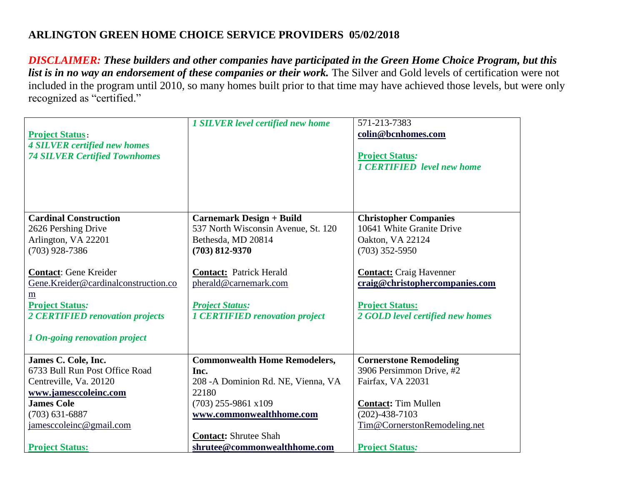| <b>Project Status:</b><br><b>4 SILVER certified new homes</b><br><b>74 SILVER Certified Townhomes</b>                                                                                          | <b>1 SILVER level certified new home</b>                                                                                                                           | 571-213-7383<br>colin@bcnhomes.com<br><b>Project Status:</b><br>1 CERTIFIED level new home                                     |
|------------------------------------------------------------------------------------------------------------------------------------------------------------------------------------------------|--------------------------------------------------------------------------------------------------------------------------------------------------------------------|--------------------------------------------------------------------------------------------------------------------------------|
| <b>Cardinal Construction</b>                                                                                                                                                                   | <b>Carnemark Design + Build</b>                                                                                                                                    | <b>Christopher Companies</b>                                                                                                   |
| 2626 Pershing Drive                                                                                                                                                                            | 537 North Wisconsin Avenue, St. 120                                                                                                                                | 10641 White Granite Drive                                                                                                      |
| Arlington, VA 22201                                                                                                                                                                            | Bethesda, MD 20814                                                                                                                                                 | Oakton, VA 22124                                                                                                               |
| $(703)$ 928-7386                                                                                                                                                                               | $(703) 812 - 9370$                                                                                                                                                 | $(703)$ 352-5950                                                                                                               |
| <b>Contact:</b> Gene Kreider<br>Gene.Kreider@cardinalconstruction.co<br>m<br><b>Project Status:</b><br>2 CERTIFIED renovation projects<br>1 On-going renovation project<br>James C. Cole, Inc. | <b>Contact:</b> Patrick Herald<br>pherald@carnemark.com<br><b>Project Status:</b><br><b>1 CERTIFIED renovation project</b><br><b>Commonwealth Home Remodelers,</b> | <b>Contact:</b> Craig Havenner<br>craig@christophercompanies.com<br><b>Project Status:</b><br>2 GOLD level certified new homes |
| 6733 Bull Run Post Office Road                                                                                                                                                                 | Inc.                                                                                                                                                               | <b>Cornerstone Remodeling</b><br>3906 Persimmon Drive, #2                                                                      |
| Centreville, Va. 20120                                                                                                                                                                         | 208 - A Dominion Rd. NE, Vienna, VA                                                                                                                                | Fairfax, VA 22031                                                                                                              |
| www.jamesccoleinc.com                                                                                                                                                                          | 22180                                                                                                                                                              |                                                                                                                                |
| <b>James Cole</b>                                                                                                                                                                              | $(703)$ 255-9861 x109                                                                                                                                              | <b>Contact: Tim Mullen</b>                                                                                                     |
| $(703) 631 - 6887$                                                                                                                                                                             | www.commonwealthhome.com                                                                                                                                           | $(202)-438-7103$                                                                                                               |
| jamesccoleinc@gmail.com                                                                                                                                                                        |                                                                                                                                                                    | Tim@CornerstonRemodeling.net                                                                                                   |
|                                                                                                                                                                                                | <b>Contact: Shrutee Shah</b>                                                                                                                                       |                                                                                                                                |
| <b>Project Status:</b>                                                                                                                                                                         | shrutee@commonwealthhome.com                                                                                                                                       | <b>Project Status:</b>                                                                                                         |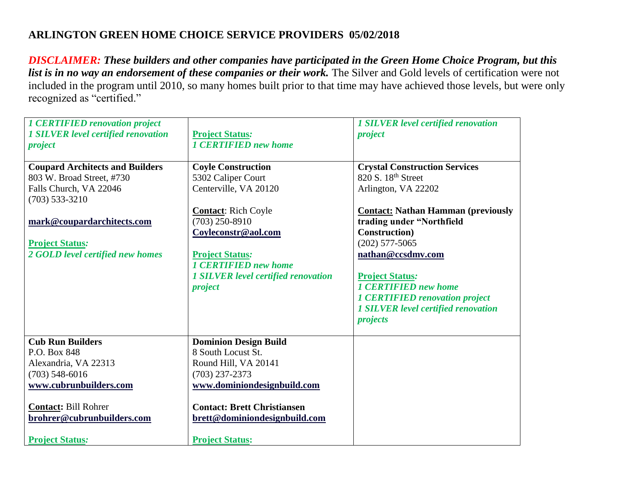| <b>1 CERTIFIED renovation project</b><br><b>1 SILVER level certified renovation</b><br>project                                                                                                       | <b>Project Status:</b><br><b>1 CERTIFIED new home</b>                                                                                                                                                                          | <b>1 SILVER level certified renovation</b><br>project                                                                                                                                                                                                   |
|------------------------------------------------------------------------------------------------------------------------------------------------------------------------------------------------------|--------------------------------------------------------------------------------------------------------------------------------------------------------------------------------------------------------------------------------|---------------------------------------------------------------------------------------------------------------------------------------------------------------------------------------------------------------------------------------------------------|
| <b>Coupard Architects and Builders</b><br>803 W. Broad Street, #730<br>Falls Church, VA 22046<br>$(703)$ 533-3210                                                                                    | <b>Coyle Construction</b><br>5302 Caliper Court<br>Centerville, VA 20120<br><b>Contact:</b> Rich Coyle                                                                                                                         | <b>Crystal Construction Services</b><br>820 S. 18 <sup>th</sup> Street<br>Arlington, VA 22202<br><b>Contact: Nathan Hamman (previously</b>                                                                                                              |
| mark@coupardarchitects.com<br><b>Project Status:</b><br>2 GOLD level certified new homes                                                                                                             | $(703)$ 250-8910<br>Coyleconstr@aol.com<br><b>Project Status:</b><br><b>1 CERTIFIED new home</b><br><b>1 SILVER level certified renovation</b><br>project                                                                      | trading under "Northfield<br><b>Construction</b> )<br>$(202)$ 577-5065<br>nathan@ccsdmv.com<br><b>Project Status:</b><br><b>1 CERTIFIED new home</b><br><b>1 CERTIFIED renovation project</b><br><b>1 SILVER level certified renovation</b><br>projects |
| <b>Cub Run Builders</b><br>P.O. Box 848<br>Alexandria, VA 22313<br>$(703)$ 548-6016<br>www.cubrunbuilders.com<br><b>Contact: Bill Rohrer</b><br>brohrer@cubrunbuilders.com<br><b>Project Status:</b> | <b>Dominion Design Build</b><br>8 South Locust St.<br>Round Hill, VA 20141<br>$(703)$ 237-2373<br>www.dominiondesignbuild.com<br><b>Contact: Brett Christiansen</b><br>brett@dominiondesignbuild.com<br><b>Project Status:</b> |                                                                                                                                                                                                                                                         |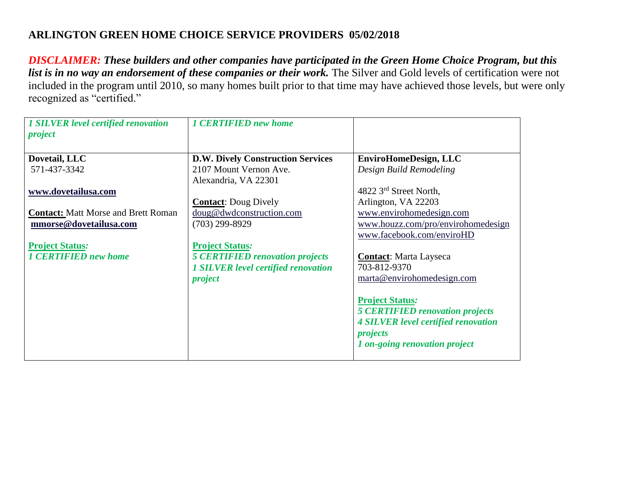| <b>1 SILVER level certified renovation</b><br>project | <b>1 CERTIFIED new home</b>                    |                                                                 |
|-------------------------------------------------------|------------------------------------------------|-----------------------------------------------------------------|
| Dovetail, LLC                                         | <b>D.W. Dively Construction Services</b>       | <b>EnviroHomeDesign, LLC</b>                                    |
| 571-437-3342                                          | 2107 Mount Vernon Ave.<br>Alexandria, VA 22301 | Design Build Remodeling                                         |
| www.dovetailusa.com                                   |                                                | 4822 3rd Street North,                                          |
|                                                       | <b>Contact:</b> Doug Dively                    | Arlington, VA 22203                                             |
| <b>Contact: Matt Morse and Brett Roman</b>            | doug@dwdconstruction.com                       | www.envirohomedesign.com                                        |
| mmorse@dovetailusa.com                                | $(703)$ 299-8929                               | www.houzz.com/pro/envirohomedesign<br>www.facebook.com/enviroHD |
| <b>Project Status:</b>                                | <b>Project Status:</b>                         |                                                                 |
| <b>1 CERTIFIED new home</b>                           | <b>5 CERTIFIED renovation projects</b>         | <b>Contact:</b> Marta Layseca                                   |
|                                                       | <b>1 SILVER level certified renovation</b>     | 703-812-9370                                                    |
|                                                       | project                                        | marta@envirohomedesign.com                                      |
|                                                       |                                                | <b>Project Status:</b>                                          |
|                                                       |                                                | <b>5 CERTIFIED renovation projects</b>                          |
|                                                       |                                                | <b>4 SILVER level certified renovation</b><br>projects          |
|                                                       |                                                | 1 on-going renovation project                                   |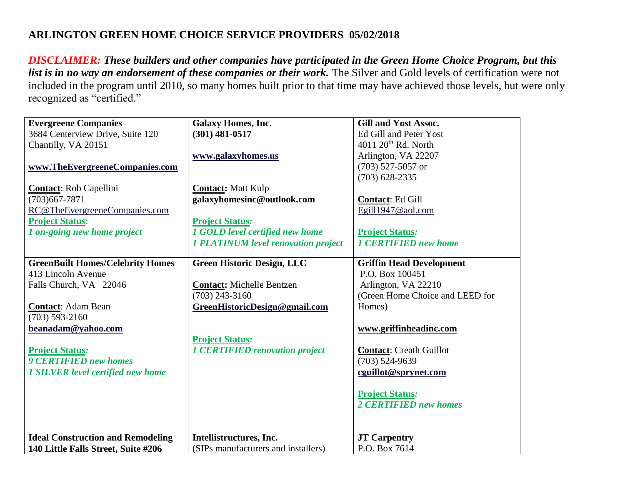| <b>Evergreene Companies</b>              | Galaxy Homes, Inc.                         | <b>Gill and Yost Assoc.</b>     |
|------------------------------------------|--------------------------------------------|---------------------------------|
| 3684 Centerview Drive, Suite 120         | $(301)$ 481-0517                           | Ed Gill and Peter Yost          |
| Chantilly, VA 20151                      |                                            | $4011$ $20th$ Rd. North         |
|                                          | www.galaxyhomes.us                         | Arlington, VA 22207             |
| www.TheEvergreeneCompanies.com           |                                            | $(703)$ 527-5057 or             |
|                                          |                                            | $(703)$ 628-2335                |
| <b>Contact:</b> Rob Capellini            | <b>Contact: Matt Kulp</b>                  |                                 |
| $(703)667 - 7871$                        | galaxyhomesinc@outlook.com                 | <b>Contact: Ed Gill</b>         |
| RC@TheEvergreeneCompanies.com            |                                            | Egill1947@aol.com               |
| <b>Project Status:</b>                   | <b>Project Status:</b>                     |                                 |
| 1 on-going new home project              | 1 GOLD level certified new home            | <b>Project Status:</b>          |
|                                          | <b>1 PLATINUM level renovation project</b> | <b>1 CERTIFIED new home</b>     |
|                                          |                                            |                                 |
| <b>GreenBuilt Homes/Celebrity Homes</b>  | <b>Green Historic Design, LLC</b>          | <b>Griffin Head Development</b> |
| 413 Lincoln Avenue                       |                                            | P.O. Box 100451                 |
| Falls Church, VA 22046                   | <b>Contact: Michelle Bentzen</b>           | Arlington, VA 22210             |
|                                          | $(703)$ 243-3160                           | (Green Home Choice and LEED for |
| <b>Contact: Adam Bean</b>                | GreenHistoricDesign@gmail.com              | Homes)                          |
| $(703) 593 - 2160$                       |                                            |                                 |
| beanadam@yahoo.com                       |                                            | www.griffinheadinc.com          |
|                                          | <b>Project Status:</b>                     |                                 |
| <b>Project Status:</b>                   | <b>1 CERTIFIED renovation project</b>      | <b>Contact: Creath Guillot</b>  |
| <b>9 CERTIFIED new homes</b>             |                                            | $(703)$ 524-9639                |
| <b>1 SILVER level certified new home</b> |                                            | cguillot@sprynet.com            |
|                                          |                                            |                                 |
|                                          |                                            | <b>Project Status:</b>          |
|                                          |                                            | 2 CERTIFIED new homes           |
|                                          |                                            |                                 |
|                                          |                                            |                                 |
| <b>Ideal Construction and Remodeling</b> | Intellistructures, Inc.                    | <b>JT Carpentry</b>             |
| 140 Little Falls Street, Suite #206      | (SIPs manufacturers and installers)        | P.O. Box 7614                   |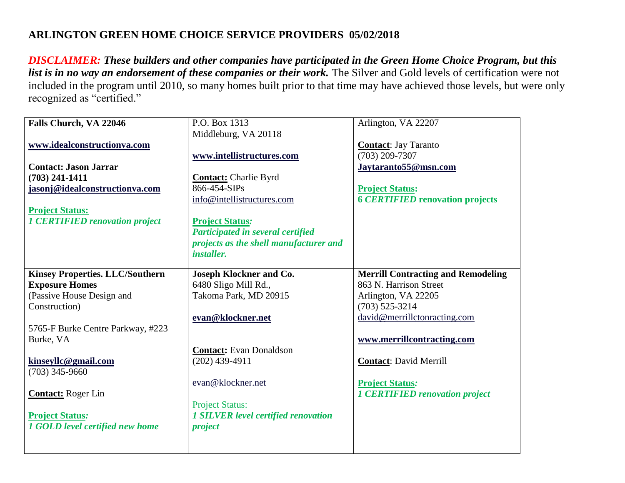| Falls Church, VA 22046                 | P.O. Box 1313                                      | Arlington, VA 22207                                             |
|----------------------------------------|----------------------------------------------------|-----------------------------------------------------------------|
|                                        | Middleburg, VA 20118                               |                                                                 |
| www.idealconstructionva.com            |                                                    | <b>Contact:</b> Jay Taranto                                     |
|                                        | www.intellistructures.com                          | (703) 209-7307                                                  |
| <b>Contact: Jason Jarrar</b>           |                                                    | Jaytaranto55@msn.com                                            |
| $(703)$ 241-1411                       | <b>Contact:</b> Charlie Byrd                       |                                                                 |
| jasonj@idealconstructionva.com         | 866-454-SIPs                                       | <b>Project Status:</b>                                          |
|                                        | info@intellistructures.com                         | <b>6 CERTIFIED renovation projects</b>                          |
| <b>Project Status:</b>                 |                                                    |                                                                 |
| <b>1 CERTIFIED renovation project</b>  | <b>Project Status:</b>                             |                                                                 |
|                                        | Participated in several certified                  |                                                                 |
|                                        | projects as the shell manufacturer and             |                                                                 |
|                                        | <i>installer.</i>                                  |                                                                 |
|                                        |                                                    |                                                                 |
| <b>Kinsey Properties. LLC/Southern</b> | Joseph Klockner and Co.                            | <b>Merrill Contracting and Remodeling</b>                       |
| <b>Exposure Homes</b>                  | 6480 Sligo Mill Rd.,                               | 863 N. Harrison Street                                          |
| (Passive House Design and              | Takoma Park, MD 20915                              | Arlington, VA 22205                                             |
| Construction)                          |                                                    | $(703)$ 525-3214                                                |
|                                        | evan@klockner.net                                  | david@merrillctonracting.com                                    |
| 5765-F Burke Centre Parkway, #223      |                                                    |                                                                 |
| Burke, VA                              |                                                    | www.merrillcontracting.com                                      |
|                                        | <b>Contact:</b> Evan Donaldson<br>$(202)$ 439-4911 | <b>Contact: David Merrill</b>                                   |
| kinseyllc@gmail.com                    |                                                    |                                                                 |
| $(703)$ 345-9660                       | evan@klockner.net                                  |                                                                 |
|                                        |                                                    | <b>Project Status:</b><br><b>1 CERTIFIED renovation project</b> |
| <b>Contact:</b> Roger Lin              | <b>Project Status:</b>                             |                                                                 |
| <b>Project Status:</b>                 | <b>1 SILVER level certified renovation</b>         |                                                                 |
| 1 GOLD level certified new home        |                                                    |                                                                 |
|                                        | project                                            |                                                                 |
|                                        |                                                    |                                                                 |
|                                        |                                                    |                                                                 |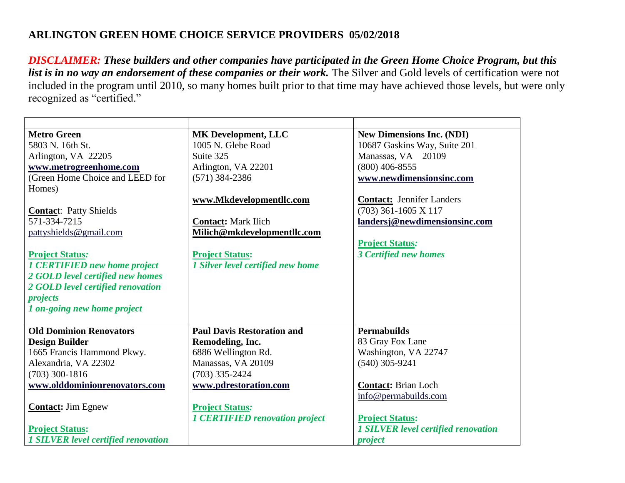| <b>Metro Green</b>                         | <b>MK Development, LLC</b>            | <b>New Dimensions Inc. (NDI)</b>           |
|--------------------------------------------|---------------------------------------|--------------------------------------------|
| 5803 N. 16th St.                           | 1005 N. Glebe Road                    | 10687 Gaskins Way, Suite 201               |
| Arlington, VA 22205                        | Suite 325                             | Manassas, VA 20109                         |
| www.metrogreenhome.com                     | Arlington, VA 22201                   | $(800)$ 406-8555                           |
| (Green Home Choice and LEED for            | $(571)$ 384-2386                      | www.newdimensionsinc.com                   |
| Homes)                                     |                                       |                                            |
|                                            | www.Mkdevelopmentllc.com              | <b>Contact: Jennifer Landers</b>           |
| <b>Contact:</b> Patty Shields              |                                       | $(703)$ 361-1605 X 117                     |
| 571-334-7215                               | <b>Contact: Mark Ilich</b>            | landersj@newdimensionsinc.com              |
| pattyshields@gmail.com                     | Milich@mkdevelopmentllc.com           |                                            |
|                                            |                                       | <b>Project Status:</b>                     |
| <b>Project Status:</b>                     | <b>Project Status:</b>                | <b>3 Certified new homes</b>               |
| <b>1 CERTIFIED new home project</b>        | 1 Silver level certified new home     |                                            |
| 2 GOLD level certified new homes           |                                       |                                            |
| 2 GOLD level certified renovation          |                                       |                                            |
| projects                                   |                                       |                                            |
| 1 on-going new home project                |                                       |                                            |
|                                            |                                       |                                            |
| <b>Old Dominion Renovators</b>             | <b>Paul Davis Restoration and</b>     | <b>Permabuilds</b>                         |
| <b>Design Builder</b>                      | Remodeling, Inc.                      | 83 Gray Fox Lane                           |
| 1665 Francis Hammond Pkwy.                 | 6886 Wellington Rd.                   | Washington, VA 22747                       |
| Alexandria, VA 22302                       | Manassas, VA 20109                    | $(540)$ 305-9241                           |
| $(703)$ 300-1816                           | $(703)$ 335-2424                      |                                            |
| www.olddominionrenovators.com              | www.pdrestoration.com                 | <b>Contact: Brian Loch</b>                 |
|                                            |                                       | info@permabuilds.com                       |
| <b>Contact:</b> Jim Egnew                  | <b>Project Status:</b>                |                                            |
|                                            | <b>1 CERTIFIED renovation project</b> | <b>Project Status:</b>                     |
| <b>Project Status:</b>                     |                                       | <b>1 SILVER level certified renovation</b> |
| <b>1 SILVER level certified renovation</b> |                                       | project                                    |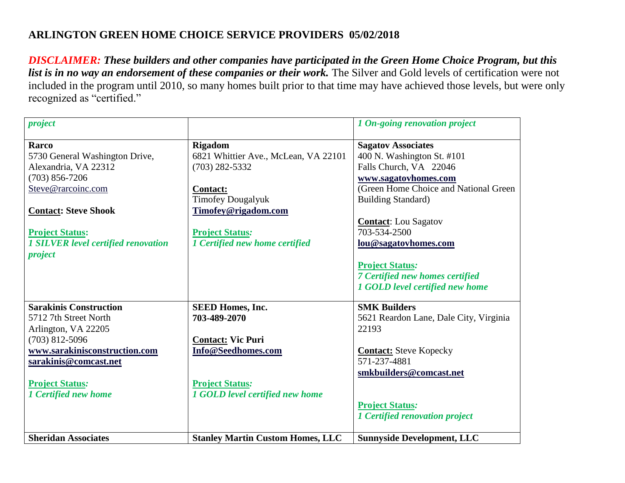| project                                    |                                         | 1 On-going renovation project          |
|--------------------------------------------|-----------------------------------------|----------------------------------------|
| Rarco                                      | <b>Rigadom</b>                          | <b>Sagatov Associates</b>              |
| 5730 General Washington Drive,             | 6821 Whittier Ave., McLean, VA 22101    | 400 N. Washington St. #101             |
| Alexandria, VA 22312                       | $(703)$ 282-5332                        | Falls Church, VA 22046                 |
| $(703) 856 - 7206$                         |                                         | www.sagatovhomes.com                   |
| Steve@rarcoinc.com                         | <b>Contact:</b>                         | (Green Home Choice and National Green) |
|                                            | <b>Timofey Dougalyuk</b>                | <b>Building Standard)</b>              |
| <b>Contact: Steve Shook</b>                | Timofey@rigadom.com                     |                                        |
|                                            |                                         | <b>Contact:</b> Lou Sagatov            |
| <b>Project Status:</b>                     | <b>Project Status:</b>                  | 703-534-2500                           |
| <b>1 SILVER level certified renovation</b> | 1 Certified new home certified          | lou@sagatovhomes.com                   |
| project                                    |                                         |                                        |
|                                            |                                         | <b>Project Status:</b>                 |
|                                            |                                         | 7 Certified new homes certified        |
|                                            |                                         | 1 GOLD level certified new home        |
| <b>Sarakinis Construction</b>              | <b>SEED Homes, Inc.</b>                 | <b>SMK Builders</b>                    |
| 5712 7th Street North                      | 703-489-2070                            | 5621 Reardon Lane, Dale City, Virginia |
| Arlington, VA 22205                        |                                         | 22193                                  |
| $(703)$ 812-5096                           | <b>Contact: Vic Puri</b>                |                                        |
| www.sarakinisconstruction.com              | Info@Seedhomes.com                      | <b>Contact:</b> Steve Kopecky          |
| sarakinis@comcast.net                      |                                         | 571-237-4881                           |
|                                            |                                         | smkbuilders@comcast.net                |
| <b>Project Status:</b>                     | <b>Project Status:</b>                  |                                        |
| 1 Certified new home                       | 1 GOLD level certified new home         |                                        |
|                                            |                                         | <b>Project Status:</b>                 |
|                                            |                                         | 1 Certified renovation project         |
|                                            |                                         |                                        |
| <b>Sheridan Associates</b>                 | <b>Stanley Martin Custom Homes, LLC</b> | <b>Sunnyside Development, LLC</b>      |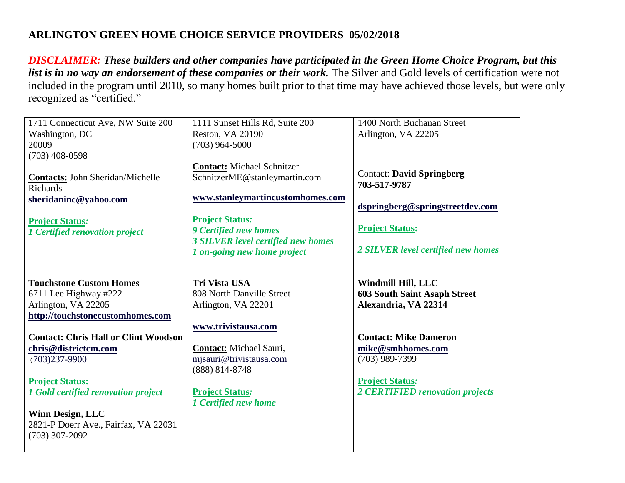| 1711 Connecticut Ave, NW Suite 200          | 1111 Sunset Hills Rd, Suite 200    | 1400 North Buchanan Street          |
|---------------------------------------------|------------------------------------|-------------------------------------|
| Washington, DC                              | <b>Reston, VA 20190</b>            | Arlington, VA 22205                 |
| 20009                                       | $(703)$ 964-5000                   |                                     |
| $(703)$ 408-0598                            |                                    |                                     |
|                                             | <b>Contact: Michael Schnitzer</b>  |                                     |
| <b>Contacts: John Sheridan/Michelle</b>     | SchnitzerME@stanleymartin.com      | <b>Contact: David Springberg</b>    |
| <b>Richards</b>                             |                                    | 703-517-9787                        |
| sheridaninc@yahoo.com                       | www.stanleymartincustomhomes.com   |                                     |
|                                             |                                    | dspringberg@springstreetdev.com     |
| <b>Project Status:</b>                      | <b>Project Status:</b>             |                                     |
| 1 Certified renovation project              | <b>9 Certified new homes</b>       | <b>Project Status:</b>              |
|                                             | 3 SILVER level certified new homes |                                     |
|                                             | 1 on-going new home project        | 2 SILVER level certified new homes  |
|                                             |                                    |                                     |
|                                             |                                    |                                     |
| <b>Touchstone Custom Homes</b>              | <b>Tri Vista USA</b>               | Windmill Hill, LLC                  |
| 6711 Lee Highway #222                       | 808 North Danville Street          | <b>603 South Saint Asaph Street</b> |
| Arlington, VA 22205                         | Arlington, VA 22201                | Alexandria, VA 22314                |
| http://touchstonecustomhomes.com            |                                    |                                     |
|                                             | www.trivistausa.com                |                                     |
| <b>Contact: Chris Hall or Clint Woodson</b> |                                    | <b>Contact: Mike Dameron</b>        |
| chris@districtcm.com                        | <b>Contact:</b> Michael Sauri,     | mike@smhhomes.com                   |
| $(703)237 - 9900$                           | mjsauri@trivistausa.com            | $(703)$ 989-7399                    |
|                                             | (888) 814-8748                     |                                     |
| <b>Project Status:</b>                      |                                    | <b>Project Status:</b>              |
| 1 Gold certified renovation project         | <b>Project Status:</b>             | 2 CERTIFIED renovation projects     |
|                                             | 1 Certified new home               |                                     |
| <b>Winn Design, LLC</b>                     |                                    |                                     |
| 2821-P Doerr Ave., Fairfax, VA 22031        |                                    |                                     |
| $(703)$ 307-2092                            |                                    |                                     |
|                                             |                                    |                                     |
|                                             |                                    |                                     |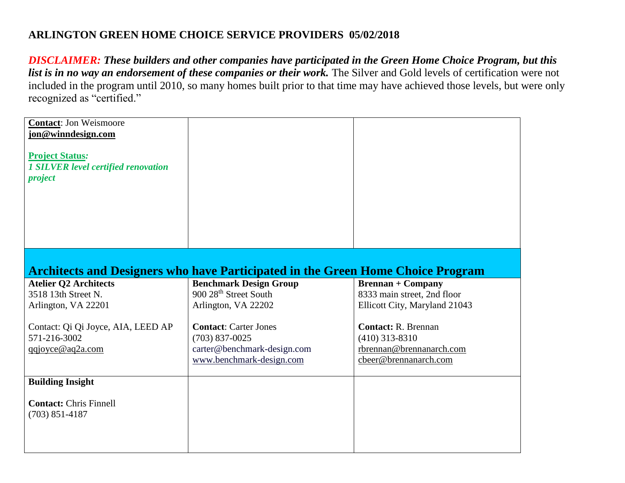| <b>Contact: Jon Weismoore</b><br>jon@winndesign.com<br><b>Project Status:</b><br><b>1 SILVER level certified renovation</b><br>project |                                                                                                             |                                                                                                     |
|----------------------------------------------------------------------------------------------------------------------------------------|-------------------------------------------------------------------------------------------------------------|-----------------------------------------------------------------------------------------------------|
|                                                                                                                                        |                                                                                                             |                                                                                                     |
|                                                                                                                                        | <b>Architects and Designers who have Participated in the Green Home Choice Program</b>                      |                                                                                                     |
| <b>Atelier Q2 Architects</b><br>3518 13th Street N.<br>Arlington, VA 22201                                                             | <b>Benchmark Design Group</b><br>900 28 <sup>th</sup> Street South<br>Arlington, VA 22202                   | <b>Brennan + Company</b><br>8333 main street, 2nd floor<br>Ellicott City, Maryland 21043            |
| Contact: Qi Qi Joyce, AIA, LEED AP<br>571-216-3002<br>qqjoyce@aq2a.com                                                                 | <b>Contact: Carter Jones</b><br>$(703)$ 837-0025<br>carter@benchmark-design.com<br>www.benchmark-design.com | <b>Contact: R. Brennan</b><br>$(410)$ 313-8310<br>rbrennan@brennanarch.com<br>cbeer@brennanarch.com |
| <b>Building Insight</b>                                                                                                                |                                                                                                             |                                                                                                     |
| <b>Contact: Chris Finnell</b><br>$(703) 851 - 4187$                                                                                    |                                                                                                             |                                                                                                     |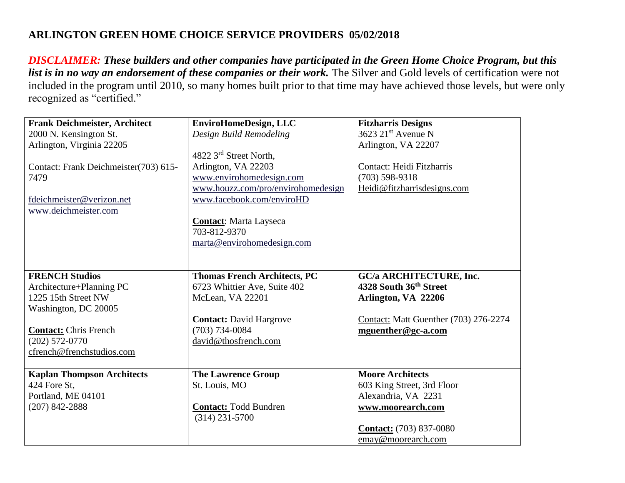| <b>Frank Deichmeister, Architect</b>  | EnviroHomeDesign, LLC               | <b>Fitzharris Designs</b>                    |
|---------------------------------------|-------------------------------------|----------------------------------------------|
| 2000 N. Kensington St.                | Design Build Remodeling             | 3623 21 <sup>st</sup> Avenue N               |
| Arlington, Virginia 22205             |                                     | Arlington, VA 22207                          |
|                                       | 4822 3rd Street North,              |                                              |
| Contact: Frank Deichmeister(703) 615- | Arlington, VA 22203                 | Contact: Heidi Fitzharris                    |
| 7479                                  | www.envirohomedesign.com            | $(703)$ 598-9318                             |
|                                       | www.houzz.com/pro/envirohomedesign  | Heidi@fitzharrisdesigns.com                  |
| fdeichmeister@verizon.net             | www.facebook.com/enviroHD           |                                              |
| www.deichmeister.com                  |                                     |                                              |
|                                       | <b>Contact:</b> Marta Layseca       |                                              |
|                                       | 703-812-9370                        |                                              |
|                                       | marta@envirohomedesign.com          |                                              |
|                                       |                                     |                                              |
|                                       |                                     |                                              |
| <b>FRENCH Studios</b>                 | <b>Thomas French Architects, PC</b> | <b>GC/a ARCHITECTURE, Inc.</b>               |
| Architecture+Planning PC              | 6723 Whittier Ave, Suite 402        | 4328 South 36th Street                       |
| 1225 15th Street NW                   | McLean, VA 22201                    | Arlington, VA 22206                          |
| Washington, DC 20005                  |                                     |                                              |
|                                       | <b>Contact: David Hargrove</b>      | <b>Contact:</b> Matt Guenther (703) 276-2274 |
| <b>Contact:</b> Chris French          | $(703) 734 - 0084$                  | mguenther@gc-a.com                           |
| $(202)$ 572-0770                      | david@thosfrench.com                |                                              |
| cfrench@frenchstudios.com             |                                     |                                              |
|                                       |                                     |                                              |
| <b>Kaplan Thompson Architects</b>     | <b>The Lawrence Group</b>           | <b>Moore Architects</b>                      |
| 424 Fore St,                          | St. Louis, MO                       | 603 King Street, 3rd Floor                   |
| Portland, ME 04101                    |                                     | Alexandria, VA 2231                          |
| $(207)$ 842-2888                      | <b>Contact: Todd Bundren</b>        | www.moorearch.com                            |
|                                       | $(314)$ 231-5700                    |                                              |
|                                       |                                     | <b>Contact:</b> (703) 837-0080               |
|                                       |                                     | emay@moorearch.com                           |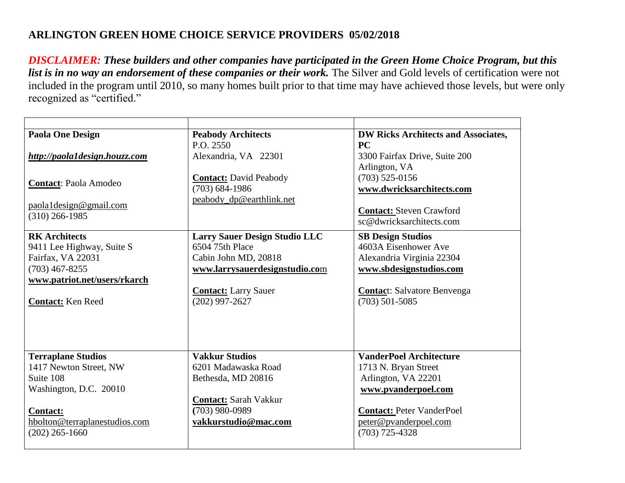| <b>Paola One Design</b>                           | <b>Peabody Architects</b>            | <b>DW Ricks Architects and Associates,</b> |
|---------------------------------------------------|--------------------------------------|--------------------------------------------|
|                                                   | P.O. 2550                            | PC                                         |
| http://paola1design.houzz.com                     | Alexandria, VA 22301                 | 3300 Fairfax Drive, Suite 200              |
|                                                   |                                      | Arlington, VA                              |
| <b>Contact: Paola Amodeo</b>                      | <b>Contact: David Peabody</b>        | $(703)$ 525-0156                           |
|                                                   | $(703)$ 684-1986                     | www.dwricksarchitects.com                  |
| $paola1$ design@gmail.com                         | peabody_dp@earthlink.net             |                                            |
| $(310)$ 266-1985                                  |                                      | <b>Contact: Steven Crawford</b>            |
|                                                   |                                      | sc@dwricksarchitects.com                   |
| <b>RK</b> Architects                              | <b>Larry Sauer Design Studio LLC</b> | <b>SB Design Studios</b>                   |
| 9411 Lee Highway, Suite S                         | 6504 75th Place                      | 4603A Eisenhower Ave                       |
| Fairfax, VA 22031                                 | Cabin John MD, 20818                 | Alexandria Virginia 22304                  |
| $(703)$ 467-8255                                  | www.larrysauerdesignstudio.com       | www.sbdesignstudios.com                    |
| www.patriot.net/users/rkarch                      |                                      |                                            |
|                                                   | <b>Contact:</b> Larry Sauer          | <b>Contact:</b> Salvatore Benvenga         |
| <b>Contact:</b> Ken Reed                          | $(202)$ 997-2627                     | $(703)$ 501-5085                           |
|                                                   |                                      |                                            |
|                                                   |                                      |                                            |
|                                                   |                                      |                                            |
|                                                   |                                      |                                            |
| <b>Terraplane Studios</b>                         | <b>Vakkur Studios</b>                | <b>VanderPoel Architecture</b>             |
| 1417 Newton Street, NW                            | 6201 Madawaska Road                  | 1713 N. Bryan Street                       |
| Suite 108                                         | Bethesda, MD 20816                   | Arlington, VA 22201                        |
| Washington, D.C. 20010                            |                                      | www.pvanderpoel.com                        |
|                                                   | <b>Contact:</b> Sarah Vakkur         |                                            |
| <b>Contact:</b>                                   | $(703)$ 980-0989                     | <b>Contact: Peter VanderPoel</b>           |
| hbolton@terraplanestudios.com<br>$(202)$ 265-1660 | vakkurstudio@mac.com                 | peter@pvanderpoel.com<br>$(703)$ 725-4328  |
|                                                   |                                      |                                            |
|                                                   |                                      |                                            |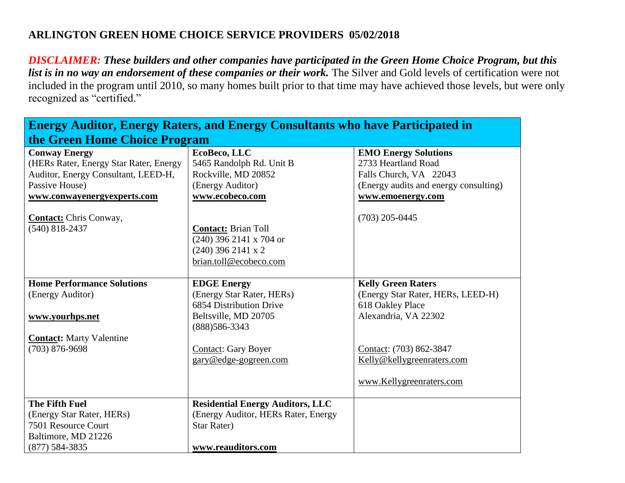*DISCLAIMER: These builders and other companies have participated in the Green Home Choice Program, but this*  list is in no way an endorsement of these companies or their work. The Silver and Gold levels of certification were not included in the program until 2010, so many homes built prior to that time may have achieved those levels, but were only recognized as "certified."

**Energy Auditor, Energy Raters, and Energy Consultants who have Participated in** 

| <u>Elici gy Auditor, Elici gy Katers, and Elici gy Consultants who have I alticipated in</u> |                                         |                                       |
|----------------------------------------------------------------------------------------------|-----------------------------------------|---------------------------------------|
| the Green Home Choice Program                                                                |                                         |                                       |
| <b>Conway Energy</b>                                                                         | EcoBeco, LLC                            | <b>EMO Energy Solutions</b>           |
| (HERs Rater, Energy Star Rater, Energy                                                       | 5465 Randolph Rd. Unit B                | 2733 Heartland Road                   |
| Auditor, Energy Consultant, LEED-H,                                                          | Rockville, MD 20852                     | Falls Church, VA 22043                |
| Passive House)                                                                               | (Energy Auditor)                        | (Energy audits and energy consulting) |
| www.conwayenergyexperts.com                                                                  | www.ecobeco.com                         | www.emoenergy.com                     |
| <b>Contact:</b> Chris Conway,                                                                |                                         | $(703)$ 205-0445                      |
| $(540)$ 818-2437                                                                             | <b>Contact: Brian Toll</b>              |                                       |
|                                                                                              | $(240)$ 396 2141 x 704 or               |                                       |
|                                                                                              | $(240)$ 396 2141 x 2                    |                                       |
|                                                                                              | brian.toll@ecobeco.com                  |                                       |
|                                                                                              |                                         |                                       |
| <b>Home Performance Solutions</b>                                                            | <b>EDGE Energy</b>                      | <b>Kelly Green Raters</b>             |
| (Energy Auditor)                                                                             | (Energy Star Rater, HERs)               | (Energy Star Rater, HERs, LEED-H)     |
|                                                                                              | 6854 Distribution Drive                 | 618 Oakley Place                      |
| www.yourhps.net                                                                              | Beltsville, MD 20705<br>(888) 586-3343  | Alexandria, VA 22302                  |
| <b>Contact:</b> Marty Valentine                                                              |                                         |                                       |
| $(703) 876 - 9698$                                                                           | <b>Contact: Gary Boyer</b>              | Contact: (703) 862-3847               |
|                                                                                              | gary@edge-gogreen.com                   | Kelly@kellygreenraters.com            |
|                                                                                              |                                         | www.Kellygreenraters.com              |
| <b>The Fifth Fuel</b>                                                                        | <b>Residential Energy Auditors, LLC</b> |                                       |
| (Energy Star Rater, HERs)                                                                    | (Energy Auditor, HERs Rater, Energy     |                                       |
| 7501 Resource Court                                                                          | <b>Star Rater)</b>                      |                                       |
| Baltimore, MD 21226                                                                          |                                         |                                       |
| $(877)$ 584-3835                                                                             | www.reauditors.com                      |                                       |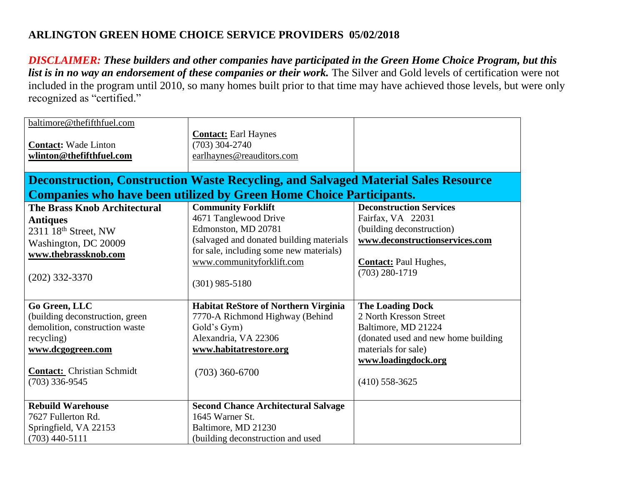| baltimore@thefifthfuel.com<br><b>Contact:</b> Wade Linton<br>wlinton@thefifthfuel.com                                                                                          | <b>Contact: Earl Haynes</b><br>$(703)$ 304-2740<br>earlhaynes@reauditors.com<br><b>Deconstruction, Construction Waste Recycling, and Salvaged Material Sales Resource</b>                                         |                                                                                                                                                                                   |
|--------------------------------------------------------------------------------------------------------------------------------------------------------------------------------|-------------------------------------------------------------------------------------------------------------------------------------------------------------------------------------------------------------------|-----------------------------------------------------------------------------------------------------------------------------------------------------------------------------------|
|                                                                                                                                                                                | <b>Companies who have been utilized by Green Home Choice Participants.</b>                                                                                                                                        |                                                                                                                                                                                   |
| <b>The Brass Knob Architectural</b><br><b>Antiques</b><br>2311 18th Street, NW<br>Washington, DC 20009<br>www.thebrassknob.com<br>$(202)$ 332-3370                             | <b>Community Forklift</b><br>4671 Tanglewood Drive<br>Edmonston, MD 20781<br>(salvaged and donated building materials<br>for sale, including some new materials)<br>www.communityforklift.com<br>$(301)$ 985-5180 | <b>Deconstruction Services</b><br>Fairfax, VA 22031<br>(building deconstruction)<br>www.deconstructionservices.com<br><b>Contact:</b> Paul Hughes,<br>$(703)$ 280-1719            |
| Go Green, LLC<br>(building deconstruction, green<br>demolition, construction waste<br>recycling)<br>www.dcgogreen.com<br><b>Contact: Christian Schmidt</b><br>$(703)$ 336-9545 | <b>Habitat ReStore of Northern Virginia</b><br>7770-A Richmond Highway (Behind<br>Gold's Gym)<br>Alexandria, VA 22306<br>www.habitatrestore.org<br>$(703)$ 360-6700                                               | <b>The Loading Dock</b><br>2 North Kresson Street<br>Baltimore, MD 21224<br>(donated used and new home building<br>materials for sale)<br>www.loadingdock.org<br>$(410)$ 558-3625 |
| <b>Rebuild Warehouse</b><br>7627 Fullerton Rd.<br>Springfield, VA 22153<br>$(703)$ 440-5111                                                                                    | <b>Second Chance Architectural Salvage</b><br>1645 Warner St.<br>Baltimore, MD 21230<br>(building deconstruction and used                                                                                         |                                                                                                                                                                                   |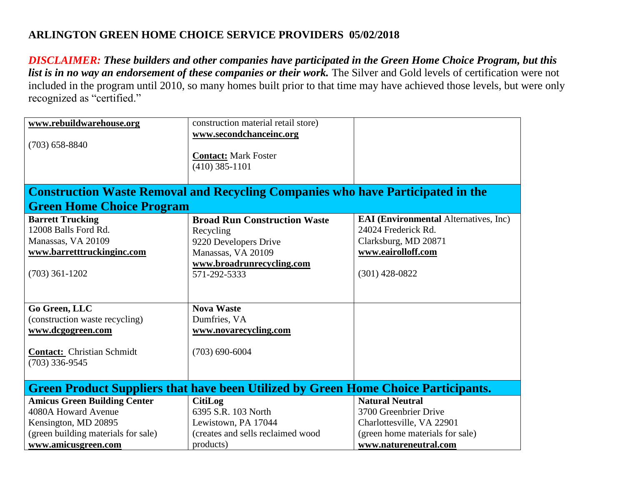| www.rebuildwarehouse.org                                                                  | construction material retail store)                                                    |                                              |
|-------------------------------------------------------------------------------------------|----------------------------------------------------------------------------------------|----------------------------------------------|
|                                                                                           |                                                                                        |                                              |
|                                                                                           | www.secondchanceinc.org                                                                |                                              |
| $(703)$ 658-8840                                                                          |                                                                                        |                                              |
|                                                                                           | <b>Contact:</b> Mark Foster                                                            |                                              |
|                                                                                           | $(410)$ 385-1101                                                                       |                                              |
|                                                                                           |                                                                                        |                                              |
|                                                                                           | <b>Construction Waste Removal and Recycling Companies who have Participated in the</b> |                                              |
| <b>Green Home Choice Program</b>                                                          |                                                                                        |                                              |
| <b>Barrett Trucking</b>                                                                   | <b>Broad Run Construction Waste</b>                                                    | <b>EAI</b> (Environmental Alternatives, Inc) |
| 12008 Balls Ford Rd.                                                                      | Recycling                                                                              | 24024 Frederick Rd.                          |
| Manassas, VA 20109                                                                        | 9220 Developers Drive                                                                  | Clarksburg, MD 20871                         |
| www.barretttruckinginc.com                                                                | Manassas, VA 20109                                                                     | www.eairolloff.com                           |
|                                                                                           | www.broadrunrecycling.com                                                              |                                              |
| $(703)$ 361-1202                                                                          | 571-292-5333                                                                           | $(301)$ 428-0822                             |
|                                                                                           |                                                                                        |                                              |
|                                                                                           |                                                                                        |                                              |
| Go Green, LLC                                                                             | <b>Nova Waste</b>                                                                      |                                              |
| (construction waste recycling)                                                            | Dumfries, VA                                                                           |                                              |
| www.dcgogreen.com                                                                         | www.novarecycling.com                                                                  |                                              |
|                                                                                           |                                                                                        |                                              |
|                                                                                           |                                                                                        |                                              |
| <b>Contact:</b> Christian Schmidt                                                         | $(703) 690 - 6004$                                                                     |                                              |
| $(703)$ 336-9545                                                                          |                                                                                        |                                              |
|                                                                                           |                                                                                        |                                              |
| <b>Green Product Suppliers that have been Utilized by Green Home Choice Participants.</b> |                                                                                        |                                              |
| <b>Amicus Green Building Center</b>                                                       | <b>CitiLog</b>                                                                         | <b>Natural Neutral</b>                       |
| 4080A Howard Avenue                                                                       | 6395 S.R. 103 North                                                                    | 3700 Greenbrier Drive                        |
| Kensington, MD 20895                                                                      | Lewistown, PA 17044                                                                    | Charlottesville, VA 22901                    |
| (green building materials for sale)                                                       | (creates and sells reclaimed wood                                                      | (green home materials for sale)              |
| www.amicusgreen.com                                                                       | products)                                                                              | www.natureneutral.com                        |